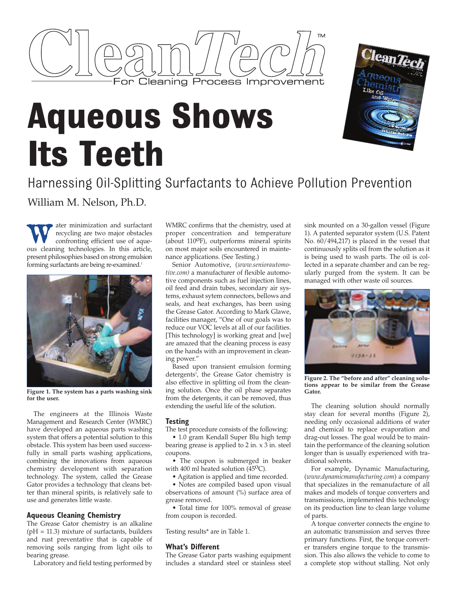

# **Aqueous Shows Its Teeth**



Harnessing Oil-Splitting Surfactants to Achieve Pollution Prevention William M. Nelson, Ph.D.

We ater minimization and surfactant<br>recycling are two major obstacles<br>confronting efficient use of aquerecycling are two major obstacles confronting efficient use of aqueous cleaning technologies. In this article, present philosophies based on strong emulsion forming surfactants are being re-examined.<sup>1</sup>



**Figure 1. The system has a parts washing sink for the user.**

The engineers at the Illinois Waste Management and Research Center (WMRC) have developed an aqueous parts washing system that offers a potential solution to this obstacle. This system has been used successfully in small parts washing applications, combining the innovations from aqueous chemistry development with separation technology. The system, called the Grease Gator provides a technology that cleans better than mineral spirits, is relatively safe to use and generates little waste.

## **Aqueous Cleaning Chemistry**

The Grease Gator chemistry is an alkaline  $(pH = 11.3)$  mixture of surfactants, builders and rust preventative that is capable of removing soils ranging from light oils to bearing grease.

Laboratory and field testing performed by

WMRC confirms that the chemistry, used at proper concentration and temperature (about  $110^{\circ}$ F), outperforms mineral spirits on most major soils encountered in maintenance applications. (See Testing.)

Senior Automotive, (*www.seniorautomotive.com)* a manufacturer of flexible automotive components such as fuel injection lines, oil feed and drain tubes, secondary air systems, exhaust sytem connectors, bellows and seals, and heat exchanges, has been using the Grease Gator. According to Mark Glawe, facilities manager, "One of our goals was to reduce our VOC levels at all of our facilities. [This technology] is working great and [we] are amazed that the cleaning process is easy on the hands with an improvement in cleaning power."

Based upon transient emulsion forming detergents<sup>2</sup>, the Grease Gator chemistry is also effective in splitting oil from the cleaning solution. Once the oil phase separates from the detergents, it can be removed, thus extending the useful life of the solution.

### **Testing**

The test procedure consists of the following:

• 1.0 gram Kendall Super Blu high temp bearing grease is applied to 2 in. x 3 in. steel coupons.

• The coupon is submerged in beaker with 400 ml heated solution ( $45^{\circ}$ C).

• Agitation is applied and time recorded.

• Notes are compiled based upon visual observations of amount (%) surface area of grease removed.

• Total time for 100% removal of grease from coupon is recorded.

Testing results\* are in Table 1.

### **What's Different**

The Grease Gator parts washing equipment includes a standard steel or stainless steel sink mounted on a 30-gallon vessel (Figure 1). A patented separator system (U.S. Patent No. 60/494,217) is placed in the vessel that continuously splits oil from the solution as it is being used to wash parts. The oil is collected in a separate chamber and can be regularly purged from the system. It can be managed with other waste oil sources.



**Figure 2. The "before and after" cleaning solutions appear to be similar from the Grease Gator.**

The cleaning solution should normally stay clean for several months (Figure 2), needing only occasional additions of water and chemical to replace evaporation and drag-out losses. The goal would be to maintain the performance of the cleaning solution longer than is usually experienced with traditional solvents.

For example, Dynamic Manufacturing, (*www.dynamicmanufacturing.com*) a company that specializes in the remanufacture of all makes and models of torque converters and transmissions, implemented this technology on its production line to clean large volume of parts.

A torque converter connects the engine to an automatic transmission and serves three primary functions. First, the torque converter transfers engine torque to the transmission. This also allows the vehicle to come to a complete stop without stalling. Not only